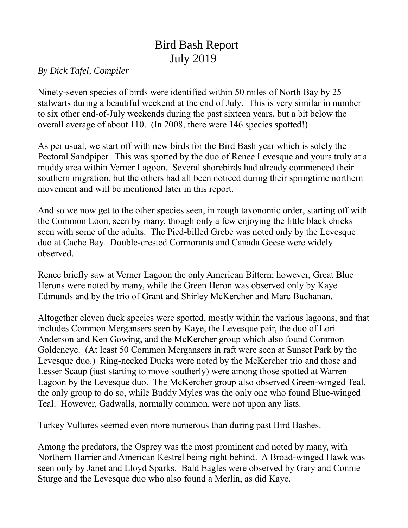## Bird Bash Report July 2019

## *By Dick Tafel, Compiler*

Ninety-seven species of birds were identified within 50 miles of North Bay by 25 stalwarts during a beautiful weekend at the end of July. This is very similar in number to six other end-of-July weekends during the past sixteen years, but a bit below the overall average of about 110. (In 2008, there were 146 species spotted!)

As per usual, we start off with new birds for the Bird Bash year which is solely the Pectoral Sandpiper. This was spotted by the duo of Renee Levesque and yours truly at a muddy area within Verner Lagoon. Several shorebirds had already commenced their southern migration, but the others had all been noticed during their springtime northern movement and will be mentioned later in this report.

And so we now get to the other species seen, in rough taxonomic order, starting off with the Common Loon, seen by many, though only a few enjoying the little black chicks seen with some of the adults. The Pied-billed Grebe was noted only by the Levesque duo at Cache Bay. Double-crested Cormorants and Canada Geese were widely observed.

Renee briefly saw at Verner Lagoon the only American Bittern; however, Great Blue Herons were noted by many, while the Green Heron was observed only by Kaye Edmunds and by the trio of Grant and Shirley McKercher and Marc Buchanan.

Altogether eleven duck species were spotted, mostly within the various lagoons, and that includes Common Mergansers seen by Kaye, the Levesque pair, the duo of Lori Anderson and Ken Gowing, and the McKercher group which also found Common Goldeneye. (At least 50 Common Mergansers in raft were seen at Sunset Park by the Levesque duo.) Ring-necked Ducks were noted by the McKercher trio and those and Lesser Scaup (just starting to move southerly) were among those spotted at Warren Lagoon by the Levesque duo. The McKercher group also observed Green-winged Teal, the only group to do so, while Buddy Myles was the only one who found Blue-winged Teal. However, Gadwalls, normally common, were not upon any lists.

Turkey Vultures seemed even more numerous than during past Bird Bashes.

Among the predators, the Osprey was the most prominent and noted by many, with Northern Harrier and American Kestrel being right behind. A Broad-winged Hawk was seen only by Janet and Lloyd Sparks. Bald Eagles were observed by Gary and Connie Sturge and the Levesque duo who also found a Merlin, as did Kaye.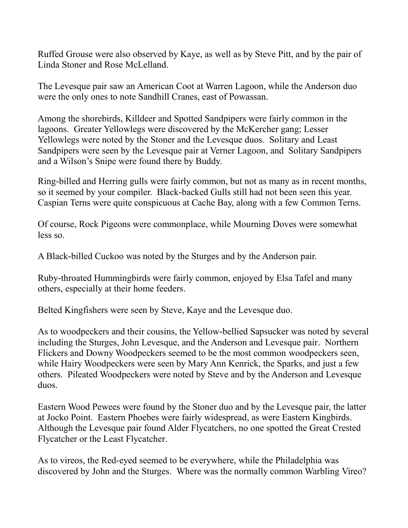Ruffed Grouse were also observed by Kaye, as well as by Steve Pitt, and by the pair of Linda Stoner and Rose McLelland.

The Levesque pair saw an American Coot at Warren Lagoon, while the Anderson duo were the only ones to note Sandhill Cranes, east of Powassan.

Among the shorebirds, Killdeer and Spotted Sandpipers were fairly common in the lagoons. Greater Yellowlegs were discovered by the McKercher gang; Lesser Yellowlegs were noted by the Stoner and the Levesque duos. Solitary and Least Sandpipers were seen by the Levesque pair at Verner Lagoon, and Solitary Sandpipers and a Wilson's Snipe were found there by Buddy.

Ring-billed and Herring gulls were fairly common, but not as many as in recent months, so it seemed by your compiler. Black-backed Gulls still had not been seen this year. Caspian Terns were quite conspicuous at Cache Bay, along with a few Common Terns.

Of course, Rock Pigeons were commonplace, while Mourning Doves were somewhat less so.

A Black-billed Cuckoo was noted by the Sturges and by the Anderson pair.

Ruby-throated Hummingbirds were fairly common, enjoyed by Elsa Tafel and many others, especially at their home feeders.

Belted Kingfishers were seen by Steve, Kaye and the Levesque duo.

As to woodpeckers and their cousins, the Yellow-bellied Sapsucker was noted by several including the Sturges, John Levesque, and the Anderson and Levesque pair. Northern Flickers and Downy Woodpeckers seemed to be the most common woodpeckers seen, while Hairy Woodpeckers were seen by Mary Ann Kenrick, the Sparks, and just a few others. Pileated Woodpeckers were noted by Steve and by the Anderson and Levesque duos.

Eastern Wood Pewees were found by the Stoner duo and by the Levesque pair, the latter at Jocko Point. Eastern Phoebes were fairly widespread, as were Eastern Kingbirds. Although the Levesque pair found Alder Flycatchers, no one spotted the Great Crested Flycatcher or the Least Flycatcher.

As to vireos, the Red-eyed seemed to be everywhere, while the Philadelphia was discovered by John and the Sturges. Where was the normally common Warbling Vireo?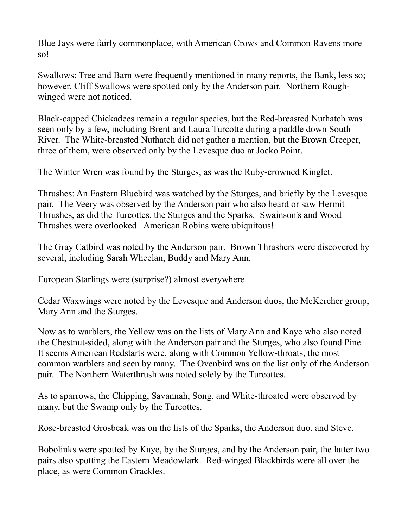Blue Jays were fairly commonplace, with American Crows and Common Ravens more so!

Swallows: Tree and Barn were frequently mentioned in many reports, the Bank, less so; however, Cliff Swallows were spotted only by the Anderson pair. Northern Roughwinged were not noticed.

Black-capped Chickadees remain a regular species, but the Red-breasted Nuthatch was seen only by a few, including Brent and Laura Turcotte during a paddle down South River. The White-breasted Nuthatch did not gather a mention, but the Brown Creeper, three of them, were observed only by the Levesque duo at Jocko Point.

The Winter Wren was found by the Sturges, as was the Ruby-crowned Kinglet.

Thrushes: An Eastern Bluebird was watched by the Sturges, and briefly by the Levesque pair. The Veery was observed by the Anderson pair who also heard or saw Hermit Thrushes, as did the Turcottes, the Sturges and the Sparks. Swainson's and Wood Thrushes were overlooked. American Robins were ubiquitous!

The Gray Catbird was noted by the Anderson pair. Brown Thrashers were discovered by several, including Sarah Wheelan, Buddy and Mary Ann.

European Starlings were (surprise?) almost everywhere.

Cedar Waxwings were noted by the Levesque and Anderson duos, the McKercher group, Mary Ann and the Sturges.

Now as to warblers, the Yellow was on the lists of Mary Ann and Kaye who also noted the Chestnut-sided, along with the Anderson pair and the Sturges, who also found Pine. It seems American Redstarts were, along with Common Yellow-throats, the most common warblers and seen by many. The Ovenbird was on the list only of the Anderson pair. The Northern Waterthrush was noted solely by the Turcottes.

As to sparrows, the Chipping, Savannah, Song, and White-throated were observed by many, but the Swamp only by the Turcottes.

Rose-breasted Grosbeak was on the lists of the Sparks, the Anderson duo, and Steve.

Bobolinks were spotted by Kaye, by the Sturges, and by the Anderson pair, the latter two pairs also spotting the Eastern Meadowlark. Red-winged Blackbirds were all over the place, as were Common Grackles.